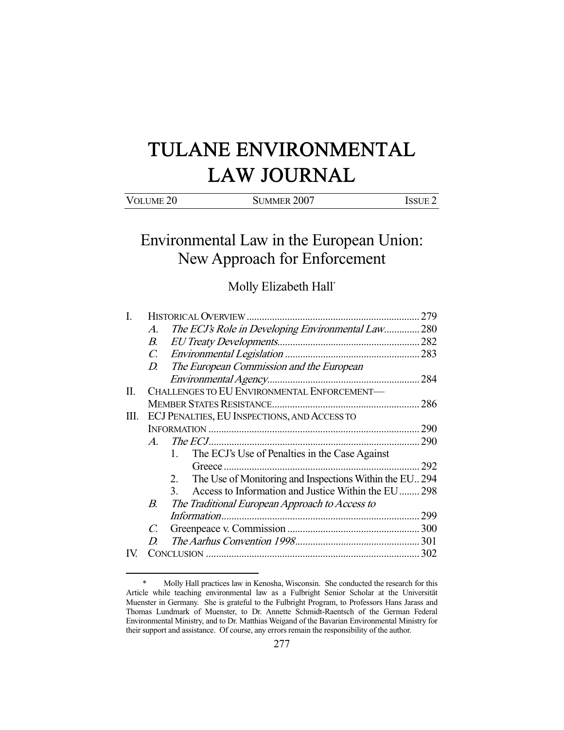# TULANE ENVIRONMENTAL LAW JOURNAL

| VOLUME <sub>20</sub> | SUMMER 2007 | ISSUE <sup>-</sup> |
|----------------------|-------------|--------------------|
|                      |             |                    |

Environmental Law in the European Union: New Approach for Enforcement

Molly Elizabeth Hall\*

| Ι.  |             |                                                                      | 279 |
|-----|-------------|----------------------------------------------------------------------|-----|
|     | А.          | The ECJ's Role in Developing Environmental Law 280                   |     |
|     | В.          |                                                                      |     |
|     |             |                                                                      |     |
|     |             | D. The European Commission and the European                          |     |
|     |             |                                                                      |     |
| П.  |             | CHALLENGES TO EU ENVIRONMENTAL ENFORCEMENT-                          |     |
|     |             |                                                                      | 286 |
| Ш.  |             | ECJ PENALTIES, EU INSPECTIONS, AND ACCESS TO                         |     |
|     |             |                                                                      | 290 |
|     | $A_{\cdot}$ |                                                                      | 290 |
|     |             | The ECJ's Use of Penalties in the Case Against<br>$\mathbf{1}$       |     |
|     |             |                                                                      | 292 |
|     |             | The Use of Monitoring and Inspections Within the EU 294<br>2.        |     |
|     |             | Access to Information and Justice Within the EU 298<br>$\mathcal{E}$ |     |
|     | В.          | The Traditional European Approach to Access to                       |     |
|     |             |                                                                      |     |
|     | C.          |                                                                      |     |
|     | D           |                                                                      |     |
| IV. |             |                                                                      | 302 |
|     |             |                                                                      |     |

 <sup>\*</sup> Molly Hall practices law in Kenosha, Wisconsin. She conducted the research for this Article while teaching environmental law as a Fulbright Senior Scholar at the Universität Muenster in Germany. She is grateful to the Fulbright Program, to Professors Hans Jarass and Thomas Lundmark of Muenster, to Dr. Annette Schmidt-Raentsch of the German Federal Environmental Ministry, and to Dr. Matthias Weigand of the Bavarian Environmental Ministry for their support and assistance. Of course, any errors remain the responsibility of the author.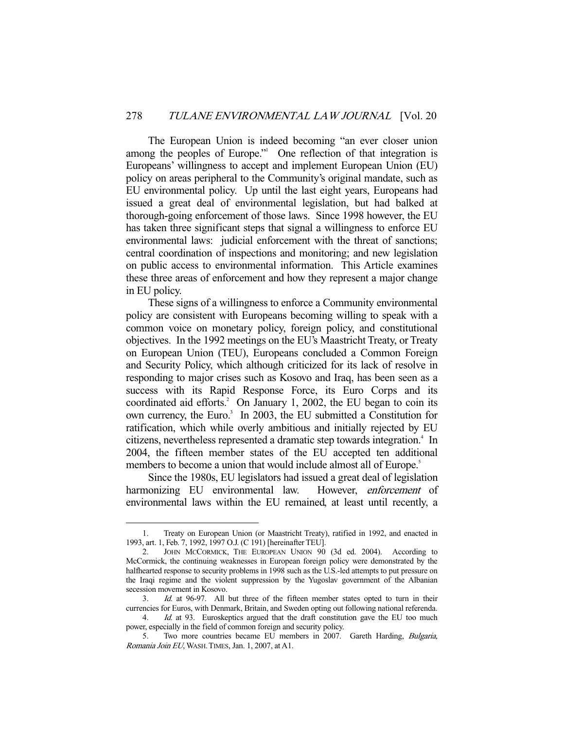The European Union is indeed becoming "an ever closer union among the peoples of Europe."<sup>1</sup> One reflection of that integration is Europeans' willingness to accept and implement European Union (EU) policy on areas peripheral to the Community's original mandate, such as EU environmental policy. Up until the last eight years, Europeans had issued a great deal of environmental legislation, but had balked at thorough-going enforcement of those laws. Since 1998 however, the EU has taken three significant steps that signal a willingness to enforce EU environmental laws: judicial enforcement with the threat of sanctions; central coordination of inspections and monitoring; and new legislation on public access to environmental information. This Article examines these three areas of enforcement and how they represent a major change in EU policy.

 These signs of a willingness to enforce a Community environmental policy are consistent with Europeans becoming willing to speak with a common voice on monetary policy, foreign policy, and constitutional objectives. In the 1992 meetings on the EU's Maastricht Treaty, or Treaty on European Union (TEU), Europeans concluded a Common Foreign and Security Policy, which although criticized for its lack of resolve in responding to major crises such as Kosovo and Iraq, has been seen as a success with its Rapid Response Force, its Euro Corps and its coordinated aid efforts.<sup>2</sup> On January 1, 2002, the EU began to coin its own currency, the Euro.<sup>3</sup> In 2003, the EU submitted a Constitution for ratification, which while overly ambitious and initially rejected by EU citizens, nevertheless represented a dramatic step towards integration.<sup>4</sup> In 2004, the fifteen member states of the EU accepted ten additional members to become a union that would include almost all of Europe.<sup>5</sup>

 Since the 1980s, EU legislators had issued a great deal of legislation harmonizing EU environmental law. However, *enforcement* of environmental laws within the EU remained, at least until recently, a

 <sup>1.</sup> Treaty on European Union (or Maastricht Treaty), ratified in 1992, and enacted in 1993, art. 1, Feb. 7, 1992, 1997 O.J. (C 191) [hereinafter TEU].

 <sup>2.</sup> JOHN MCCORMICK, THE EUROPEAN UNION 90 (3d ed. 2004). According to McCormick, the continuing weaknesses in European foreign policy were demonstrated by the halfhearted response to security problems in 1998 such as the U.S.-led attempts to put pressure on the Iraqi regime and the violent suppression by the Yugoslav government of the Albanian secession movement in Kosovo.

 <sup>3.</sup> Id. at 96-97. All but three of the fifteen member states opted to turn in their currencies for Euros, with Denmark, Britain, and Sweden opting out following national referenda.

<sup>4.</sup> Id. at 93. Euroskeptics argued that the draft constitution gave the EU too much power, especially in the field of common foreign and security policy.

 <sup>5.</sup> Two more countries became EU members in 2007. Gareth Harding, Bulgaria, Romania Join EU, WASH.TIMES, Jan. 1, 2007, at A1.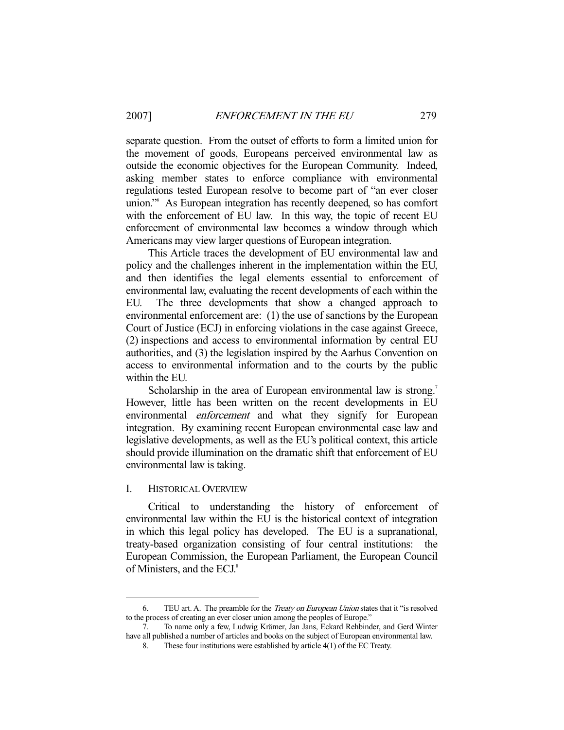separate question. From the outset of efforts to form a limited union for the movement of goods, Europeans perceived environmental law as outside the economic objectives for the European Community. Indeed, asking member states to enforce compliance with environmental regulations tested European resolve to become part of "an ever closer union."6 As European integration has recently deepened, so has comfort with the enforcement of EU law. In this way, the topic of recent EU enforcement of environmental law becomes a window through which Americans may view larger questions of European integration.

 This Article traces the development of EU environmental law and policy and the challenges inherent in the implementation within the EU, and then identifies the legal elements essential to enforcement of environmental law, evaluating the recent developments of each within the EU. The three developments that show a changed approach to environmental enforcement are: (1) the use of sanctions by the European Court of Justice (ECJ) in enforcing violations in the case against Greece, (2) inspections and access to environmental information by central EU authorities, and (3) the legislation inspired by the Aarhus Convention on access to environmental information and to the courts by the public within the EU.

Scholarship in the area of European environmental law is strong.<sup>7</sup> However, little has been written on the recent developments in EU environmental *enforcement* and what they signify for European integration. By examining recent European environmental case law and legislative developments, as well as the EU's political context, this article should provide illumination on the dramatic shift that enforcement of EU environmental law is taking.

#### I. HISTORICAL OVERVIEW

-

 Critical to understanding the history of enforcement of environmental law within the EU is the historical context of integration in which this legal policy has developed. The EU is a supranational, treaty-based organization consisting of four central institutions: the European Commission, the European Parliament, the European Council of Ministers, and the ECJ.<sup>8</sup>

 <sup>6.</sup> TEU art. A. The preamble for the Treaty on European Union states that it "is resolved to the process of creating an ever closer union among the peoples of Europe."

 <sup>7.</sup> To name only a few, Ludwig Krämer, Jan Jans, Eckard Rehbinder, and Gerd Winter have all published a number of articles and books on the subject of European environmental law.

 <sup>8.</sup> These four institutions were established by article 4(1) of the EC Treaty.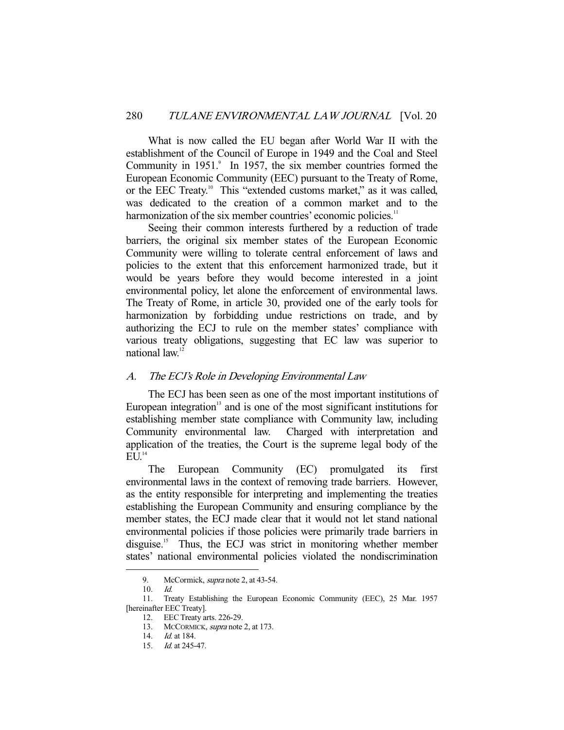What is now called the EU began after World War II with the establishment of the Council of Europe in 1949 and the Coal and Steel Community in 1951.<sup>9</sup> In 1957, the six member countries formed the European Economic Community (EEC) pursuant to the Treaty of Rome, or the EEC Treaty.<sup>10</sup> This "extended customs market," as it was called, was dedicated to the creation of a common market and to the harmonization of the six member countries' economic policies.<sup>11</sup>

 Seeing their common interests furthered by a reduction of trade barriers, the original six member states of the European Economic Community were willing to tolerate central enforcement of laws and policies to the extent that this enforcement harmonized trade, but it would be years before they would become interested in a joint environmental policy, let alone the enforcement of environmental laws. The Treaty of Rome, in article 30, provided one of the early tools for harmonization by forbidding undue restrictions on trade, and by authorizing the ECJ to rule on the member states' compliance with various treaty obligations, suggesting that EC law was superior to national law.<sup>12</sup>

# A. The ECJ's Role in Developing Environmental Law

 The ECJ has been seen as one of the most important institutions of European integration $13$  and is one of the most significant institutions for establishing member state compliance with Community law, including Community environmental law. Charged with interpretation and application of the treaties, the Court is the supreme legal body of the  $\overline{EU}^{14}$ 

 The European Community (EC) promulgated its first environmental laws in the context of removing trade barriers. However, as the entity responsible for interpreting and implementing the treaties establishing the European Community and ensuring compliance by the member states, the ECJ made clear that it would not let stand national environmental policies if those policies were primarily trade barriers in disguise.<sup>15</sup> Thus, the ECJ was strict in monitoring whether member states' national environmental policies violated the nondiscrimination

<sup>9.</sup> McCormick, *supra* note 2, at 43-54.

 <sup>10.</sup> Id.

 <sup>11.</sup> Treaty Establishing the European Economic Community (EEC), 25 Mar. 1957 [hereinafter EEC Treaty].

 <sup>12.</sup> EEC Treaty arts. 226-29.

<sup>13.</sup> MCCORMICK, *supra* note 2, at 173.

 <sup>14.</sup> Id. at 184.

 <sup>15.</sup> Id. at 245-47.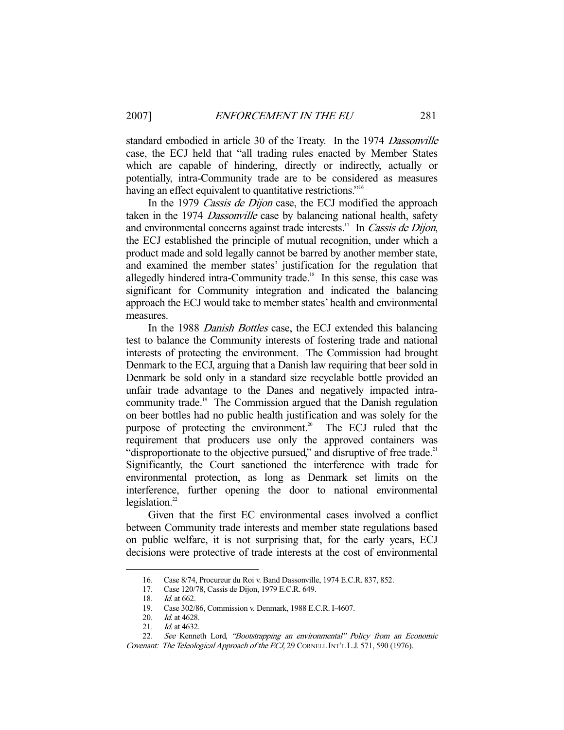standard embodied in article 30 of the Treaty. In the 1974 Dassonville case, the ECJ held that "all trading rules enacted by Member States which are capable of hindering, directly or indirectly, actually or potentially, intra-Community trade are to be considered as measures having an effect equivalent to quantitative restrictions."<sup>16</sup>

In the 1979 Cassis de Dijon case, the ECJ modified the approach taken in the 1974 Dassonville case by balancing national health, safety and environmental concerns against trade interests.<sup>17</sup> In Cassis de Dijon, the ECJ established the principle of mutual recognition, under which a product made and sold legally cannot be barred by another member state, and examined the member states' justification for the regulation that allegedly hindered intra-Community trade.<sup>18</sup> In this sense, this case was significant for Community integration and indicated the balancing approach the ECJ would take to member states' health and environmental measures.

In the 1988 Danish Bottles case, the ECJ extended this balancing test to balance the Community interests of fostering trade and national interests of protecting the environment. The Commission had brought Denmark to the ECJ, arguing that a Danish law requiring that beer sold in Denmark be sold only in a standard size recyclable bottle provided an unfair trade advantage to the Danes and negatively impacted intracommunity trade.<sup>19</sup> The Commission argued that the Danish regulation on beer bottles had no public health justification and was solely for the purpose of protecting the environment.<sup>20</sup> The ECJ ruled that the requirement that producers use only the approved containers was "disproportionate to the objective pursued," and disruptive of free trade.<sup>21</sup> Significantly, the Court sanctioned the interference with trade for environmental protection, as long as Denmark set limits on the interference, further opening the door to national environmental legislation. $^{22}$ 

 Given that the first EC environmental cases involved a conflict between Community trade interests and member state regulations based on public welfare, it is not surprising that, for the early years, ECJ decisions were protective of trade interests at the cost of environmental

 <sup>16.</sup> Case 8/74, Procureur du Roi v. Band Dassonville, 1974 E.C.R. 837, 852.

 <sup>17.</sup> Case 120/78, Cassis de Dijon, 1979 E.C.R. 649.

<sup>18.</sup> *Id.* at 662.

 <sup>19.</sup> Case 302/86, Commission v. Denmark, 1988 E.C.R. I-4607.

<sup>20.</sup> *Id.* at 4628.

<sup>21.</sup> *Id.* at 4632.

 <sup>22.</sup> See Kenneth Lord, "Bootstrapping an environmental" Policy from an Economic

Covenant: The Teleological Approach of the ECJ, 29 CORNELL INT'L L.J. 571, 590 (1976).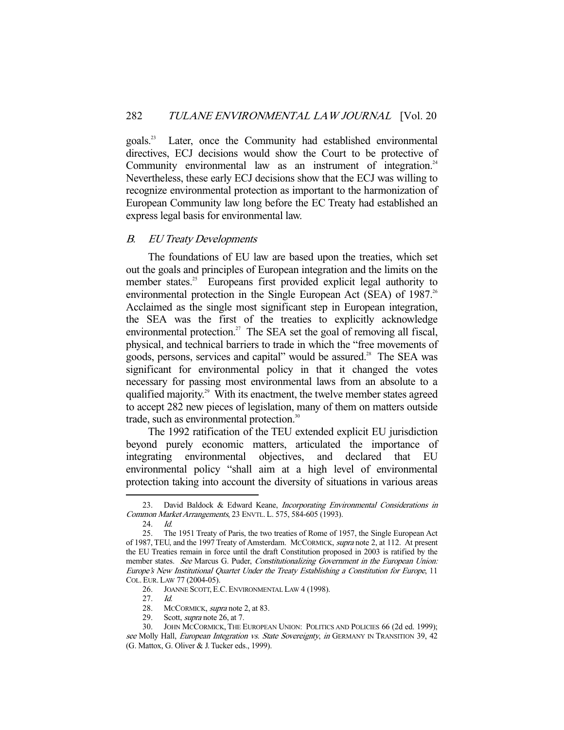goals.23 Later, once the Community had established environmental directives, ECJ decisions would show the Court to be protective of Community environmental law as an instrument of integration. $24$ Nevertheless, these early ECJ decisions show that the ECJ was willing to recognize environmental protection as important to the harmonization of European Community law long before the EC Treaty had established an express legal basis for environmental law.

# B. EU Treaty Developments

 The foundations of EU law are based upon the treaties, which set out the goals and principles of European integration and the limits on the member states.<sup>25</sup> Europeans first provided explicit legal authority to environmental protection in the Single European Act (SEA) of 1987.<sup>26</sup> Acclaimed as the single most significant step in European integration, the SEA was the first of the treaties to explicitly acknowledge environmental protection.<sup>27</sup> The SEA set the goal of removing all fiscal, physical, and technical barriers to trade in which the "free movements of goods, persons, services and capital" would be assured.<sup>28</sup> The SEA was significant for environmental policy in that it changed the votes necessary for passing most environmental laws from an absolute to a qualified majority.<sup>29</sup> With its enactment, the twelve member states agreed to accept 282 new pieces of legislation, many of them on matters outside trade, such as environmental protection.<sup>30</sup>

 The 1992 ratification of the TEU extended explicit EU jurisdiction beyond purely economic matters, articulated the importance of integrating environmental objectives, and declared that EU environmental policy "shall aim at a high level of environmental protection taking into account the diversity of situations in various areas

- 28. MCCORMICK, *supra* note 2, at 83.<br>29. Scott, *supra* note 26, at 7.
- Scott, *supra* note 26, at 7.

<sup>23.</sup> David Baldock & Edward Keane, Incorporating Environmental Considerations in Common Market Arrangements, 23 ENVTL.L. 575, 584-605 (1993).

 <sup>24.</sup> Id.

 <sup>25.</sup> The 1951 Treaty of Paris, the two treaties of Rome of 1957, the Single European Act of 1987, TEU, and the 1997 Treaty of Amsterdam. MCCORMICK, supra note 2, at 112. At present the EU Treaties remain in force until the draft Constitution proposed in 2003 is ratified by the member states. See Marcus G. Puder, Constitutionalizing Government in the European Union: Europe's New Institutional Quartet Under the Treaty Establishing a Constitution for Europe, 11 COL. EUR. LAW 77 (2004-05).

<sup>26.</sup> JOANNE SCOTT, E.C. ENVIRONMENTAL LAW 4 (1998).

 <sup>27.</sup> Id.

 <sup>30.</sup> JOHN MCCORMICK, THE EUROPEAN UNION: POLITICS AND POLICIES 66 (2d ed. 1999); see Molly Hall, European Integration vs. State Sovereignty, in GERMANY IN TRANSITION 39, 42 (G. Mattox, G. Oliver & J. Tucker eds., 1999).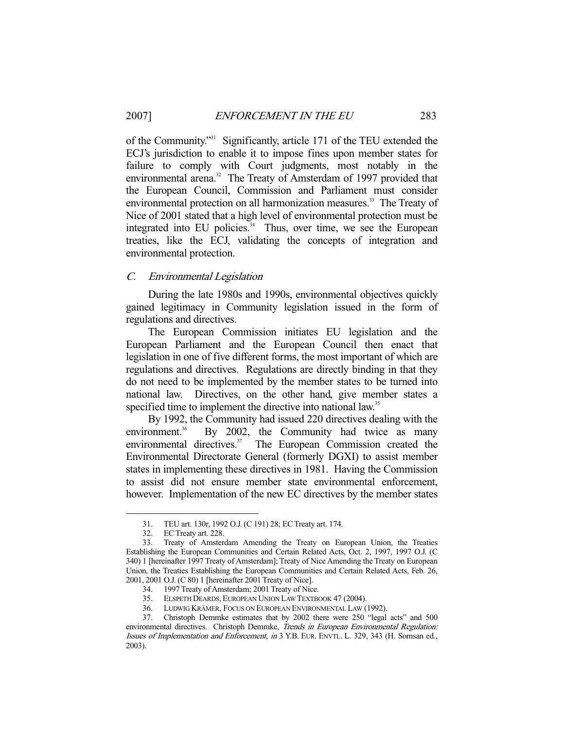of the Community."31 Significantly, article 171 of the TEU extended the ECJ's jurisdiction to enable it to impose fines upon member states for failure to comply with Court judgments, most notably in the environmental arena.<sup>32</sup> The Treaty of Amsterdam of 1997 provided that the European Council, Commission and Parliament must consider environmental protection on all harmonization measures.<sup>33</sup> The Treaty of Nice of 2001 stated that a high level of environmental protection must be integrated into EU policies. $34$  Thus, over time, we see the European treaties, like the ECJ, validating the concepts of integration and environmental protection.

#### C. Environmental Legislation

 During the late 1980s and 1990s, environmental objectives quickly gained legitimacy in Community legislation issued in the form of regulations and directives.

 The European Commission initiates EU legislation and the European Parliament and the European Council then enact that legislation in one of five different forms, the most important of which are regulations and directives. Regulations are directly binding in that they do not need to be implemented by the member states to be turned into national law. Directives, on the other hand, give member states a specified time to implement the directive into national law.<sup>35</sup>

 By 1992, the Community had issued 220 directives dealing with the environment. $36$  By 2002, the Community had twice as many environmental directives.<sup>37</sup> The European Commission created the Environmental Directorate General (formerly DGXI) to assist member states in implementing these directives in 1981. Having the Commission to assist did not ensure member state environmental enforcement, however. Implementation of the new EC directives by the member states

 <sup>31.</sup> TEU art. 130r, 1992 O.J. (C 191) 28; EC Treaty art. 174.

 <sup>32.</sup> EC Treaty art. 228.

 <sup>33.</sup> Treaty of Amsterdam Amending the Treaty on European Union, the Treaties Establishing the European Communities and Certain Related Acts, Oct. 2, 1997, 1997 O.J. (C 340) 1 [hereinafter 1997 Treaty of Amsterdam]; Treaty of Nice Amending the Treaty on European Union, the Treaties Establishing the European Communities and Certain Related Acts, Feb. 26, 2001, 2001 O.J. (C 80) 1 [hereinafter 2001 Treaty of Nice].

 <sup>34. 1997</sup> Treaty of Amsterdam; 2001 Treaty of Nice.

 <sup>35.</sup> ELSPETH DEARDS, EUROPEAN UNION LAW TEXTBOOK 47 (2004).

 <sup>36.</sup> LUDWIG KRÄMER, FOCUS ON EUROPEAN ENVIRONMENTAL LAW (1992).

 <sup>37.</sup> Christoph Demmke estimates that by 2002 there were 250 "legal acts" and 500 environmental directives. Christoph Demmke, Trends in European Environmental Regulation: Issues of Implementation and Enforcement, in 3 Y.B. EUR. ENVTL. L. 329, 343 (H. Somsan ed., 2003).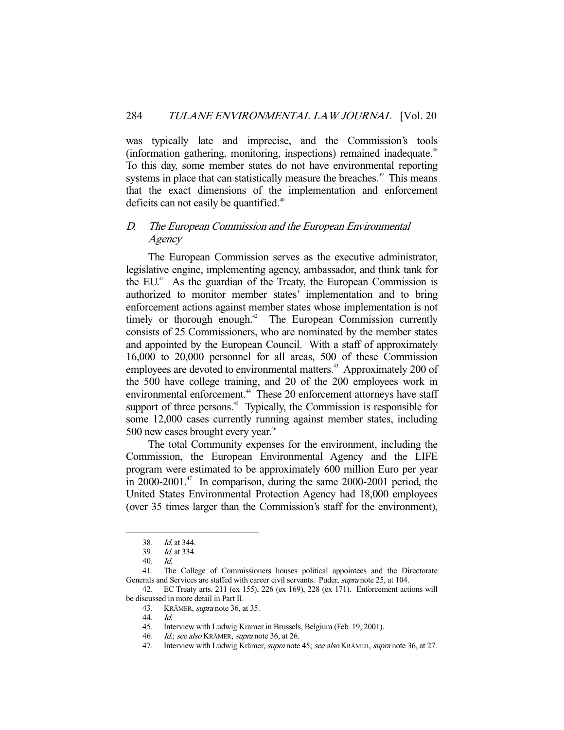was typically late and imprecise, and the Commission's tools (information gathering, monitoring, inspections) remained inadequate.<sup>38</sup> To this day, some member states do not have environmental reporting systems in place that can statistically measure the breaches.<sup>39</sup> This means that the exact dimensions of the implementation and enforcement deficits can not easily be quantified.<sup>40</sup>

# D. The European Commission and the European Environmental **Agency**

 The European Commission serves as the executive administrator, legislative engine, implementing agency, ambassador, and think tank for the EU.41 As the guardian of the Treaty, the European Commission is authorized to monitor member states' implementation and to bring enforcement actions against member states whose implementation is not timely or thorough enough.<sup>42</sup> The European Commission currently consists of 25 Commissioners, who are nominated by the member states and appointed by the European Council. With a staff of approximately 16,000 to 20,000 personnel for all areas, 500 of these Commission employees are devoted to environmental matters.<sup>43</sup> Approximately 200 of the 500 have college training, and 20 of the 200 employees work in environmental enforcement.<sup>44</sup> These 20 enforcement attorneys have staff support of three persons.<sup>45</sup> Typically, the Commission is responsible for some 12,000 cases currently running against member states, including 500 new cases brought every year.<sup>46</sup>

 The total Community expenses for the environment, including the Commission, the European Environmental Agency and the LIFE program were estimated to be approximately 600 million Euro per year in  $2000-2001$ <sup>47</sup> In comparison, during the same  $2000-2001$  period, the United States Environmental Protection Agency had 18,000 employees (over 35 times larger than the Commission's staff for the environment),

-

45. Interview with Ludwig Kramer in Brussels, Belgium (Feb. 19, 2001).

 <sup>38.</sup> Id. at 344.

 <sup>39.</sup> Id. at 334.

 <sup>40.</sup> Id.

 <sup>41.</sup> The College of Commissioners houses political appointees and the Directorate Generals and Services are staffed with career civil servants. Puder, supra note 25, at 104.

 <sup>42.</sup> EC Treaty arts. 211 (ex 155), 226 (ex 169), 228 (ex 171). Enforcement actions will be discussed in more detail in Part II.

 <sup>43.</sup> KRÄMER, supra note 36, at 35.

 <sup>44.</sup> Id.

<sup>46.</sup> Id.; see also KRÄMER, supra note 36, at 26.

<sup>47.</sup> Interview with Ludwig Krämer, supra note 45; see also KRÄMER, supra note 36, at 27.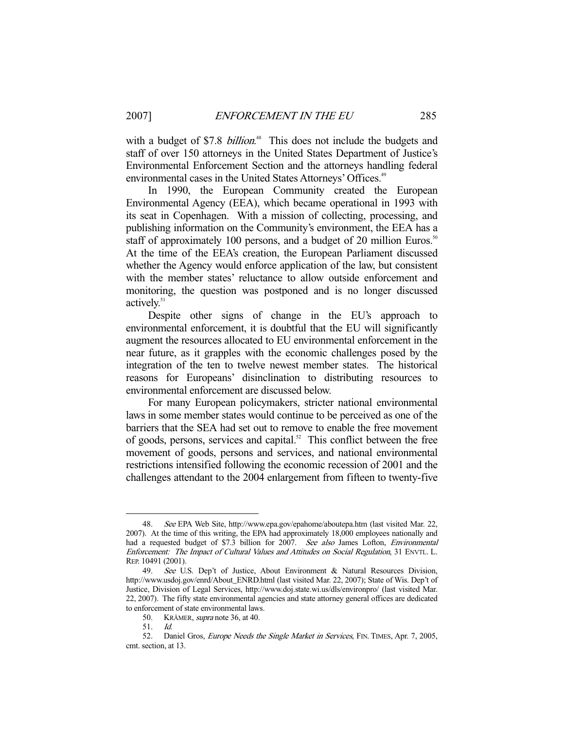with a budget of \$7.8 *billion*.<sup>48</sup> This does not include the budgets and staff of over 150 attorneys in the United States Department of Justice's Environmental Enforcement Section and the attorneys handling federal environmental cases in the United States Attorneys' Offices.<sup>49</sup>

 In 1990, the European Community created the European Environmental Agency (EEA), which became operational in 1993 with its seat in Copenhagen. With a mission of collecting, processing, and publishing information on the Community's environment, the EEA has a staff of approximately 100 persons, and a budget of 20 million Euros.<sup>50</sup> At the time of the EEA's creation, the European Parliament discussed whether the Agency would enforce application of the law, but consistent with the member states' reluctance to allow outside enforcement and monitoring, the question was postponed and is no longer discussed actively.<sup>51</sup>

 Despite other signs of change in the EU's approach to environmental enforcement, it is doubtful that the EU will significantly augment the resources allocated to EU environmental enforcement in the near future, as it grapples with the economic challenges posed by the integration of the ten to twelve newest member states. The historical reasons for Europeans' disinclination to distributing resources to environmental enforcement are discussed below.

 For many European policymakers, stricter national environmental laws in some member states would continue to be perceived as one of the barriers that the SEA had set out to remove to enable the free movement of goods, persons, services and capital.<sup>52</sup> This conflict between the free movement of goods, persons and services, and national environmental restrictions intensified following the economic recession of 2001 and the challenges attendant to the 2004 enlargement from fifteen to twenty-five

<sup>48.</sup> See EPA Web Site, http://www.epa.gov/epahome/aboutepa.htm (last visited Mar. 22, 2007). At the time of this writing, the EPA had approximately 18,000 employees nationally and had a requested budget of \$7.3 billion for 2007. See also James Lofton, *Environmental* Enforcement: The Impact of Cultural Values and Attitudes on Social Regulation, 31 ENVTL. L. REP. 10491 (2001).

 <sup>49.</sup> See U.S. Dep't of Justice, About Environment & Natural Resources Division, http://www.usdoj.gov/enrd/About\_ENRD.html (last visited Mar. 22, 2007); State of Wis. Dep't of Justice, Division of Legal Services, http://www.doj.state.wi.us/dls/environpro/ (last visited Mar. 22, 2007). The fifty state environmental agencies and state attorney general offices are dedicated to enforcement of state environmental laws.

 <sup>50.</sup> KRÄMER, supra note 36, at 40.

 <sup>51.</sup> Id.

<sup>52.</sup> Daniel Gros, Europe Needs the Single Market in Services, FIN. TIMES, Apr. 7, 2005, cmt. section, at 13.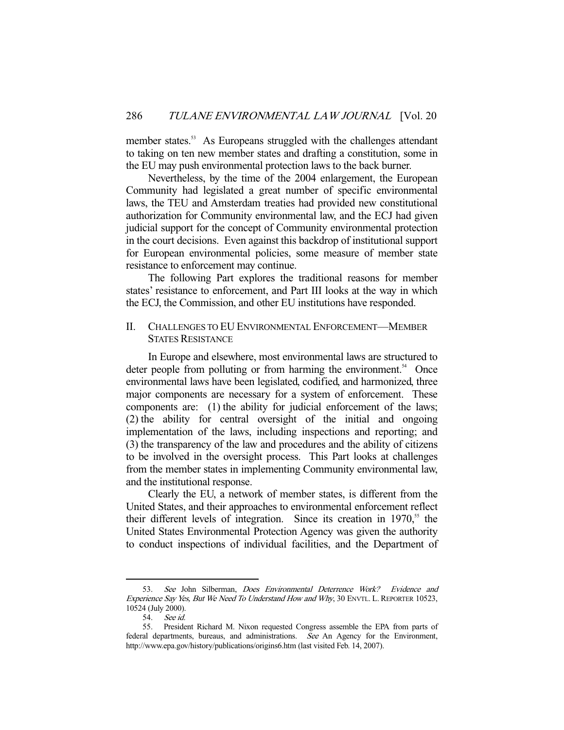member states.<sup>53</sup> As Europeans struggled with the challenges attendant to taking on ten new member states and drafting a constitution, some in the EU may push environmental protection laws to the back burner.

 Nevertheless, by the time of the 2004 enlargement, the European Community had legislated a great number of specific environmental laws, the TEU and Amsterdam treaties had provided new constitutional authorization for Community environmental law, and the ECJ had given judicial support for the concept of Community environmental protection in the court decisions. Even against this backdrop of institutional support for European environmental policies, some measure of member state resistance to enforcement may continue.

 The following Part explores the traditional reasons for member states' resistance to enforcement, and Part III looks at the way in which the ECJ, the Commission, and other EU institutions have responded.

# II. CHALLENGES TO EU ENVIRONMENTAL ENFORCEMENT—MEMBER STATES RESISTANCE

 In Europe and elsewhere, most environmental laws are structured to deter people from polluting or from harming the environment.<sup>54</sup> Once environmental laws have been legislated, codified, and harmonized, three major components are necessary for a system of enforcement. These components are: (1) the ability for judicial enforcement of the laws; (2) the ability for central oversight of the initial and ongoing implementation of the laws, including inspections and reporting; and (3) the transparency of the law and procedures and the ability of citizens to be involved in the oversight process. This Part looks at challenges from the member states in implementing Community environmental law, and the institutional response.

 Clearly the EU, a network of member states, is different from the United States, and their approaches to environmental enforcement reflect their different levels of integration. Since its creation in  $1970$ ,<sup>55</sup> the United States Environmental Protection Agency was given the authority to conduct inspections of individual facilities, and the Department of

<sup>53.</sup> See John Silberman, Does Environmental Deterrence Work? Evidence and Experience Say Yes, But We Need To Understand How and Why, 30 ENVTL. L. REPORTER 10523, 10524 (July 2000).

 <sup>54.</sup> See id.

 <sup>55.</sup> President Richard M. Nixon requested Congress assemble the EPA from parts of federal departments, bureaus, and administrations. See An Agency for the Environment, http://www.epa.gov/history/publications/origins6.htm (last visited Feb. 14, 2007).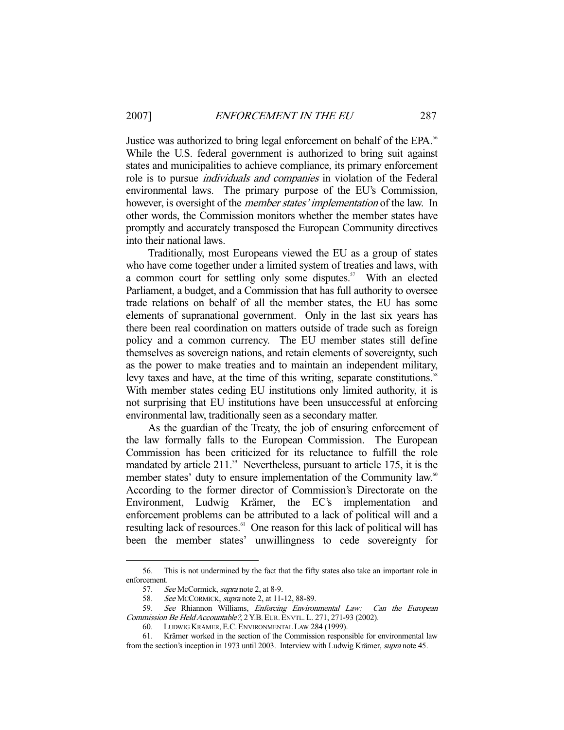Justice was authorized to bring legal enforcement on behalf of the EPA.<sup>56</sup> While the U.S. federal government is authorized to bring suit against states and municipalities to achieve compliance, its primary enforcement role is to pursue individuals and companies in violation of the Federal environmental laws. The primary purpose of the EU's Commission, however, is oversight of the *member states' implementation* of the law. In other words, the Commission monitors whether the member states have promptly and accurately transposed the European Community directives into their national laws.

 Traditionally, most Europeans viewed the EU as a group of states who have come together under a limited system of treaties and laws, with a common court for settling only some disputes.<sup>57</sup> With an elected Parliament, a budget, and a Commission that has full authority to oversee trade relations on behalf of all the member states, the EU has some elements of supranational government. Only in the last six years has there been real coordination on matters outside of trade such as foreign policy and a common currency. The EU member states still define themselves as sovereign nations, and retain elements of sovereignty, such as the power to make treaties and to maintain an independent military, levy taxes and have, at the time of this writing, separate constitutions.<sup>5</sup> With member states ceding EU institutions only limited authority, it is not surprising that EU institutions have been unsuccessful at enforcing environmental law, traditionally seen as a secondary matter.

 As the guardian of the Treaty, the job of ensuring enforcement of the law formally falls to the European Commission. The European Commission has been criticized for its reluctance to fulfill the role mandated by article  $211.^{59}$  Nevertheless, pursuant to article 175, it is the member states' duty to ensure implementation of the Community law.<sup>60</sup> According to the former director of Commission's Directorate on the Environment, Ludwig Krämer, the EC's implementation and enforcement problems can be attributed to a lack of political will and a resulting lack of resources.<sup>61</sup> One reason for this lack of political will has been the member states' unwillingness to cede sovereignty for

 <sup>56.</sup> This is not undermined by the fact that the fifty states also take an important role in enforcement.

<sup>57.</sup> See McCormick, *supra* note 2, at 8-9.

<sup>58.</sup> See MCCORMICK, *supra* note 2, at 11-12, 88-89.

 <sup>59.</sup> See Rhiannon Williams, Enforcing Environmental Law: Can the European Commission Be Held Accountable?, 2 Y.B.EUR.ENVTL. L. 271, 271-93 (2002).

 <sup>60.</sup> LUDWIG KRÄMER, E.C. ENVIRONMENTAL LAW 284 (1999).

 <sup>61.</sup> Krämer worked in the section of the Commission responsible for environmental law from the section's inception in 1973 until 2003. Interview with Ludwig Krämer, supra note 45.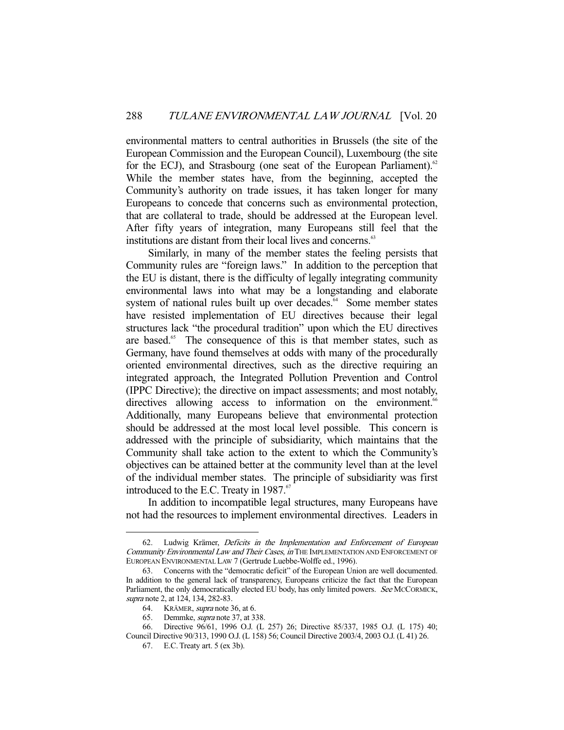environmental matters to central authorities in Brussels (the site of the European Commission and the European Council), Luxembourg (the site for the ECJ), and Strasbourg (one seat of the European Parliament).<sup>62</sup> While the member states have, from the beginning, accepted the Community's authority on trade issues, it has taken longer for many Europeans to concede that concerns such as environmental protection, that are collateral to trade, should be addressed at the European level. After fifty years of integration, many Europeans still feel that the institutions are distant from their local lives and concerns.<sup>63</sup>

 Similarly, in many of the member states the feeling persists that Community rules are "foreign laws." In addition to the perception that the EU is distant, there is the difficulty of legally integrating community environmental laws into what may be a longstanding and elaborate system of national rules built up over decades.<sup> $64$ </sup> Some member states have resisted implementation of EU directives because their legal structures lack "the procedural tradition" upon which the EU directives are based.<sup>65</sup> The consequence of this is that member states, such as Germany, have found themselves at odds with many of the procedurally oriented environmental directives, such as the directive requiring an integrated approach, the Integrated Pollution Prevention and Control (IPPC Directive); the directive on impact assessments; and most notably, directives allowing access to information on the environment.<sup>66</sup> Additionally, many Europeans believe that environmental protection should be addressed at the most local level possible. This concern is addressed with the principle of subsidiarity, which maintains that the Community shall take action to the extent to which the Community's objectives can be attained better at the community level than at the level of the individual member states. The principle of subsidiarity was first introduced to the E.C. Treaty in 1987.<sup>67</sup>

 In addition to incompatible legal structures, many Europeans have not had the resources to implement environmental directives. Leaders in

 <sup>62.</sup> Ludwig Krämer, Deficits in the Implementation and Enforcement of European Community Environmental Law and Their Cases, in THE IMPLEMENTATION AND ENFORCEMENT OF EUROPEAN ENVIRONMENTAL LAW 7 (Gertrude Luebbe-Wolffe ed., 1996).

 <sup>63.</sup> Concerns with the "democratic deficit" of the European Union are well documented. In addition to the general lack of transparency, Europeans criticize the fact that the European Parliament, the only democratically elected EU body, has only limited powers. See MCCORMICK, supra note 2, at 124, 134, 282-83.

 <sup>64.</sup> KRÄMER, supra note 36, at 6.

<sup>65.</sup> Demmke, *supra* note 37, at 338.

 <sup>66.</sup> Directive 96/61, 1996 O.J. (L 257) 26; Directive 85/337, 1985 O.J. (L 175) 40; Council Directive 90/313, 1990 O.J. (L 158) 56; Council Directive 2003/4, 2003 O.J. (L 41) 26.

 <sup>67.</sup> E.C. Treaty art. 5 (ex 3b).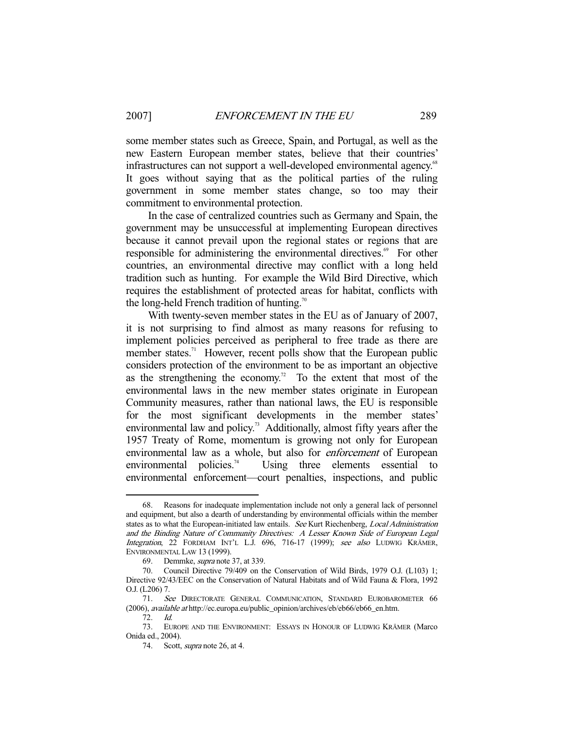some member states such as Greece, Spain, and Portugal, as well as the new Eastern European member states, believe that their countries' infrastructures can not support a well-developed environmental agency.<sup>68</sup> It goes without saying that as the political parties of the ruling government in some member states change, so too may their commitment to environmental protection.

 In the case of centralized countries such as Germany and Spain, the government may be unsuccessful at implementing European directives because it cannot prevail upon the regional states or regions that are responsible for administering the environmental directives.<sup>69</sup> For other countries, an environmental directive may conflict with a long held tradition such as hunting. For example the Wild Bird Directive, which requires the establishment of protected areas for habitat, conflicts with the long-held French tradition of hunting.<sup>70</sup>

 With twenty-seven member states in the EU as of January of 2007, it is not surprising to find almost as many reasons for refusing to implement policies perceived as peripheral to free trade as there are member states.<sup>71</sup> However, recent polls show that the European public considers protection of the environment to be as important an objective as the strengthening the economy.<sup>72</sup> To the extent that most of the environmental laws in the new member states originate in European Community measures, rather than national laws, the EU is responsible for the most significant developments in the member states' environmental law and policy.<sup>73</sup> Additionally, almost fifty years after the 1957 Treaty of Rome, momentum is growing not only for European environmental law as a whole, but also for enforcement of European environmental policies.<sup>74</sup> Using three elements essential to environmental enforcement—court penalties, inspections, and public

Reasons for inadequate implementation include not only a general lack of personnel and equipment, but also a dearth of understanding by environmental officials within the member states as to what the European-initiated law entails. See Kurt Riechenberg, Local Administration and the Binding Nature of Community Directives: A Lesser Known Side of European Legal Integration, 22 FORDHAM INT'L L.J. 696, 716-17 (1999); see also LUDWIG KRÄMER, ENVIRONMENTAL LAW 13 (1999).

 <sup>69.</sup> Demmke, supra note 37, at 339.

 <sup>70.</sup> Council Directive 79/409 on the Conservation of Wild Birds, 1979 O.J. (L103) 1; Directive 92/43/EEC on the Conservation of Natural Habitats and of Wild Fauna & Flora, 1992 O.J. (L206) 7.

 <sup>71.</sup> See DIRECTORATE GENERAL COMMUNICATION, STANDARD EUROBAROMETER 66 (2006), available at http://ec.europa.eu/public\_opinion/archives/eb/eb66/eb66\_en.htm.

 <sup>72.</sup> Id.

 <sup>73.</sup> EUROPE AND THE ENVIRONMENT: ESSAYS IN HONOUR OF LUDWIG KRÄMER (Marco Onida ed., 2004).

<sup>74.</sup> Scott, *supra* note 26, at 4.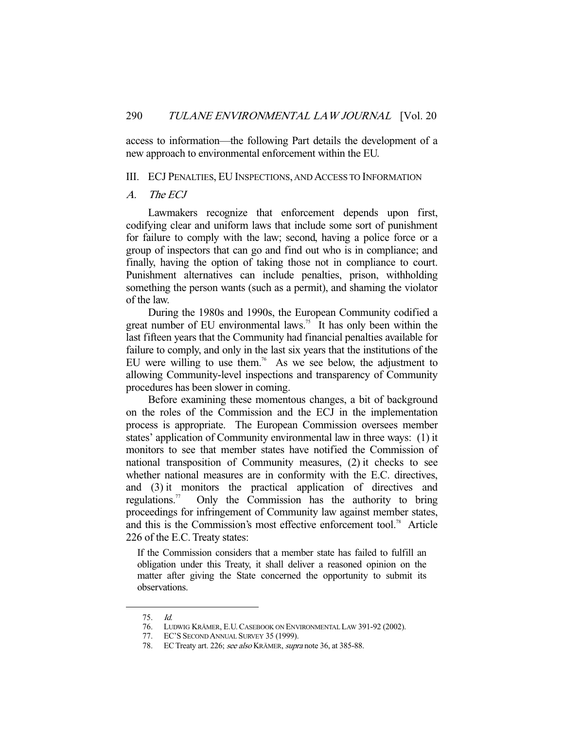access to information—the following Part details the development of a new approach to environmental enforcement within the EU.

#### III. ECJ PENALTIES, EU INSPECTIONS, AND ACCESS TO INFORMATION

#### A. The ECJ

 Lawmakers recognize that enforcement depends upon first, codifying clear and uniform laws that include some sort of punishment for failure to comply with the law; second, having a police force or a group of inspectors that can go and find out who is in compliance; and finally, having the option of taking those not in compliance to court. Punishment alternatives can include penalties, prison, withholding something the person wants (such as a permit), and shaming the violator of the law.

 During the 1980s and 1990s, the European Community codified a great number of EU environmental laws.<sup>75</sup> It has only been within the last fifteen years that the Community had financial penalties available for failure to comply, and only in the last six years that the institutions of the EU were willing to use them.<sup>76</sup> As we see below, the adjustment to allowing Community-level inspections and transparency of Community procedures has been slower in coming.

 Before examining these momentous changes, a bit of background on the roles of the Commission and the ECJ in the implementation process is appropriate. The European Commission oversees member states' application of Community environmental law in three ways: (1) it monitors to see that member states have notified the Commission of national transposition of Community measures, (2) it checks to see whether national measures are in conformity with the E.C. directives, and (3) it monitors the practical application of directives and regulations.<sup>77</sup> Only the Commission has the authority to bring proceedings for infringement of Community law against member states, and this is the Commission's most effective enforcement tool.<sup>78</sup> Article 226 of the E.C. Treaty states:

If the Commission considers that a member state has failed to fulfill an obligation under this Treaty, it shall deliver a reasoned opinion on the matter after giving the State concerned the opportunity to submit its observations.

 <sup>75.</sup> Id.

 <sup>76.</sup> LUDWIG KRÄMER, E.U.CASEBOOK ON ENVIRONMENTAL LAW 391-92 (2002).

 <sup>77.</sup> EC'S SECOND ANNUAL SURVEY 35 (1999).

<sup>78.</sup> EC Treaty art. 226; see also KRÄMER, supra note 36, at 385-88.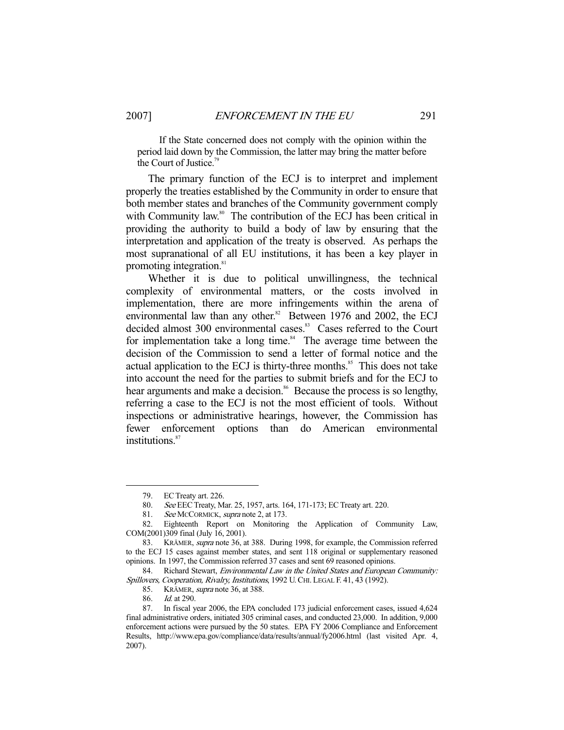If the State concerned does not comply with the opinion within the period laid down by the Commission, the latter may bring the matter before the Court of Justice.<sup>79</sup>

 The primary function of the ECJ is to interpret and implement properly the treaties established by the Community in order to ensure that both member states and branches of the Community government comply with Community law.<sup>80</sup> The contribution of the ECJ has been critical in providing the authority to build a body of law by ensuring that the interpretation and application of the treaty is observed. As perhaps the most supranational of all EU institutions, it has been a key player in promoting integration.<sup>81</sup>

 Whether it is due to political unwillingness, the technical complexity of environmental matters, or the costs involved in implementation, there are more infringements within the arena of environmental law than any other.<sup>82</sup> Between 1976 and 2002, the ECJ decided almost 300 environmental cases.<sup>83</sup> Cases referred to the Court for implementation take a long time.<sup>84</sup> The average time between the decision of the Commission to send a letter of formal notice and the actual application to the ECJ is thirty-three months.<sup>85</sup> This does not take into account the need for the parties to submit briefs and for the ECJ to hear arguments and make a decision.<sup>86</sup> Because the process is so lengthy, referring a case to the ECJ is not the most efficient of tools. Without inspections or administrative hearings, however, the Commission has fewer enforcement options than do American environmental institutions.<sup>87</sup>

 <sup>79.</sup> EC Treaty art. 226.

 <sup>80.</sup> See EEC Treaty, Mar. 25, 1957, arts. 164, 171-173; EC Treaty art. 220.

<sup>81.</sup> See MCCORMICK, supra note 2, at 173.

 <sup>82.</sup> Eighteenth Report on Monitoring the Application of Community Law, COM(2001)309 final (July 16, 2001).

 <sup>83.</sup> KRÄMER, supra note 36, at 388. During 1998, for example, the Commission referred to the ECJ 15 cases against member states, and sent 118 original or supplementary reasoned opinions. In 1997, the Commission referred 37 cases and sent 69 reasoned opinions.

<sup>84.</sup> Richard Stewart, *Environmental Law in the United States and European Community:* Spillovers, Cooperation, Rivalry, Institutions, 1992 U.CHI. LEGAL F. 41, 43 (1992).

<sup>85.</sup> KRÄMER, *supra* note 36, at 388.

<sup>86.</sup> *Id.* at 290.

 <sup>87.</sup> In fiscal year 2006, the EPA concluded 173 judicial enforcement cases, issued 4,624 final administrative orders, initiated 305 criminal cases, and conducted 23,000. In addition, 9,000 enforcement actions were pursued by the 50 states. EPA FY 2006 Compliance and Enforcement Results, http://www.epa.gov/compliance/data/results/annual/fy2006.html (last visited Apr. 4, 2007).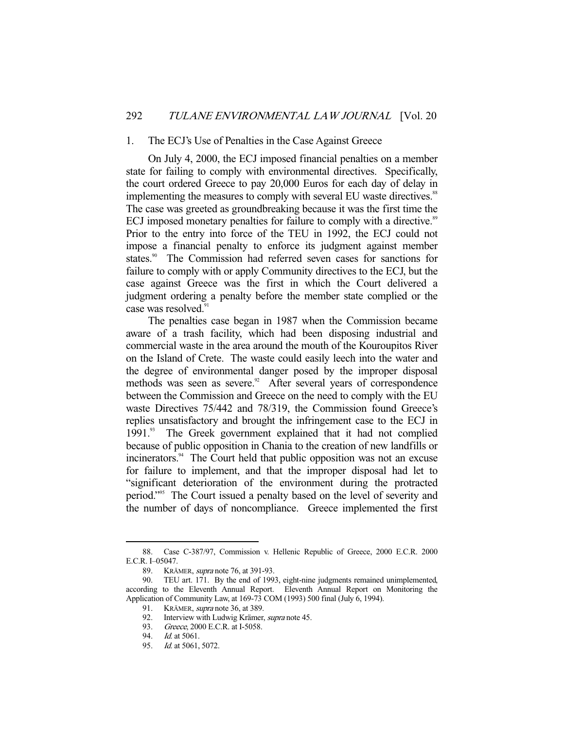#### 1. The ECJ's Use of Penalties in the Case Against Greece

 On July 4, 2000, the ECJ imposed financial penalties on a member state for failing to comply with environmental directives. Specifically, the court ordered Greece to pay 20,000 Euros for each day of delay in implementing the measures to comply with several EU waste directives.<sup>88</sup> The case was greeted as groundbreaking because it was the first time the ECJ imposed monetary penalties for failure to comply with a directive.<sup>89</sup> Prior to the entry into force of the TEU in 1992, the ECJ could not impose a financial penalty to enforce its judgment against member states.<sup>90</sup> The Commission had referred seven cases for sanctions for failure to comply with or apply Community directives to the ECJ, but the case against Greece was the first in which the Court delivered a judgment ordering a penalty before the member state complied or the case was resolved.<sup>91</sup>

 The penalties case began in 1987 when the Commission became aware of a trash facility, which had been disposing industrial and commercial waste in the area around the mouth of the Kouroupitos River on the Island of Crete. The waste could easily leech into the water and the degree of environmental danger posed by the improper disposal methods was seen as severe.<sup>92</sup> After several years of correspondence between the Commission and Greece on the need to comply with the EU waste Directives 75/442 and 78/319, the Commission found Greece's replies unsatisfactory and brought the infringement case to the ECJ in 1991.93 The Greek government explained that it had not complied because of public opposition in Chania to the creation of new landfills or incinerators.<sup>94</sup> The Court held that public opposition was not an excuse for failure to implement, and that the improper disposal had let to "significant deterioration of the environment during the protracted period."95 The Court issued a penalty based on the level of severity and the number of days of noncompliance. Greece implemented the first

 <sup>88.</sup> Case C-387/97, Commission v. Hellenic Republic of Greece, 2000 E.C.R. 2000 E.C.R. I–05047.

 <sup>89.</sup> KRÄMER, supra note 76, at 391-93.

 <sup>90.</sup> TEU art. 171. By the end of 1993, eight-nine judgments remained unimplemented, according to the Eleventh Annual Report. Eleventh Annual Report on Monitoring the Application of Community Law, at 169-73 COM (1993) 500 final (July 6, 1994).

<sup>91.</sup> KRÄMER, *supra* note 36, at 389.

<sup>92.</sup> Interview with Ludwig Krämer, *supra* note 45.

<sup>93.</sup> Greece, 2000 E.C.R. at I-5058.

 <sup>94.</sup> Id. at 5061.

 <sup>95.</sup> Id. at 5061, 5072.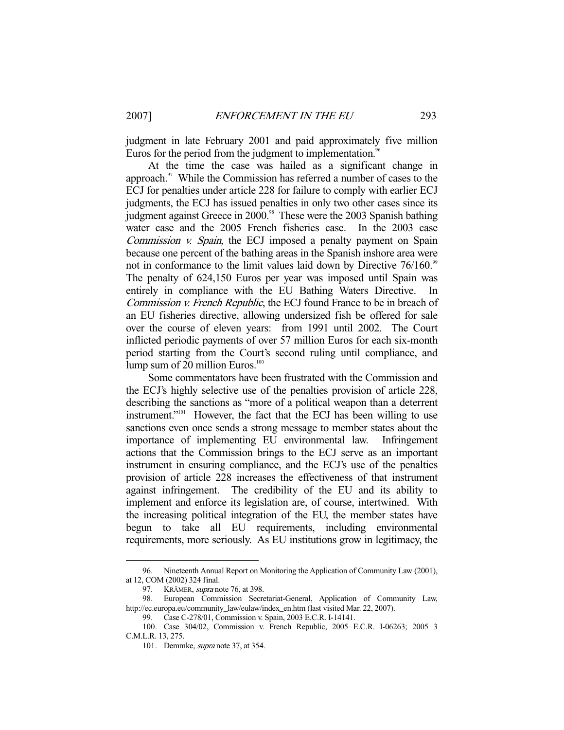judgment in late February 2001 and paid approximately five million Euros for the period from the judgment to implementation.<sup>96</sup>

 At the time the case was hailed as a significant change in approach.<sup>97</sup> While the Commission has referred a number of cases to the ECJ for penalties under article 228 for failure to comply with earlier ECJ judgments, the ECJ has issued penalties in only two other cases since its judgment against Greece in 2000.<sup>98</sup> These were the 2003 Spanish bathing water case and the 2005 French fisheries case. In the 2003 case Commission *v. Spain*, the ECJ imposed a penalty payment on Spain because one percent of the bathing areas in the Spanish inshore area were not in conformance to the limit values laid down by Directive 76/160.<sup>99</sup> The penalty of 624,150 Euros per year was imposed until Spain was entirely in compliance with the EU Bathing Waters Directive. In Commission v. French Republic, the ECJ found France to be in breach of an EU fisheries directive, allowing undersized fish be offered for sale over the course of eleven years: from 1991 until 2002. The Court inflicted periodic payments of over 57 million Euros for each six-month period starting from the Court's second ruling until compliance, and lump sum of 20 million Euros.<sup>100</sup>

 Some commentators have been frustrated with the Commission and the ECJ's highly selective use of the penalties provision of article 228, describing the sanctions as "more of a political weapon than a deterrent instrument."<sup>101</sup> However, the fact that the ECJ has been willing to use sanctions even once sends a strong message to member states about the importance of implementing EU environmental law. Infringement actions that the Commission brings to the ECJ serve as an important instrument in ensuring compliance, and the ECJ's use of the penalties provision of article 228 increases the effectiveness of that instrument against infringement. The credibility of the EU and its ability to implement and enforce its legislation are, of course, intertwined. With the increasing political integration of the EU, the member states have begun to take all EU requirements, including environmental requirements, more seriously. As EU institutions grow in legitimacy, the

 <sup>96.</sup> Nineteenth Annual Report on Monitoring the Application of Community Law (2001), at 12, COM (2002) 324 final.

<sup>97.</sup> KRÄMER, *supra* note 76, at 398.

 <sup>98.</sup> European Commission Secretariat-General, Application of Community Law, http://ec.europa.eu/community\_law/eulaw/index\_en.htm (last visited Mar. 22, 2007).

 <sup>99.</sup> Case C-278/01, Commission v. Spain, 2003 E.C.R. I-14141.

 <sup>100.</sup> Case 304/02, Commission v. French Republic, 2005 E.C.R. I-06263; 2005 3 C.M.L.R. 13, 275.

 <sup>101.</sup> Demmke, supra note 37, at 354.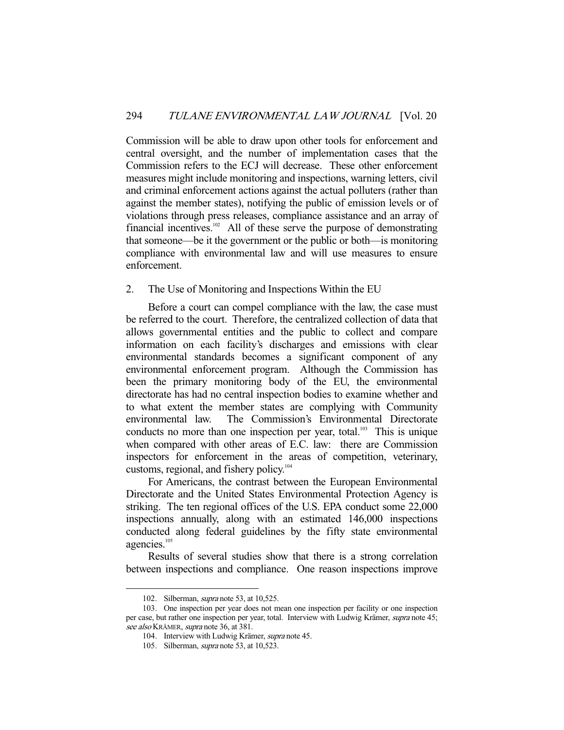Commission will be able to draw upon other tools for enforcement and central oversight, and the number of implementation cases that the Commission refers to the ECJ will decrease. These other enforcement measures might include monitoring and inspections, warning letters, civil and criminal enforcement actions against the actual polluters (rather than against the member states), notifying the public of emission levels or of violations through press releases, compliance assistance and an array of financial incentives.<sup>102</sup> All of these serve the purpose of demonstrating that someone—be it the government or the public or both—is monitoring compliance with environmental law and will use measures to ensure enforcement.

## 2. The Use of Monitoring and Inspections Within the EU

 Before a court can compel compliance with the law, the case must be referred to the court. Therefore, the centralized collection of data that allows governmental entities and the public to collect and compare information on each facility's discharges and emissions with clear environmental standards becomes a significant component of any environmental enforcement program. Although the Commission has been the primary monitoring body of the EU, the environmental directorate has had no central inspection bodies to examine whether and to what extent the member states are complying with Community environmental law. The Commission's Environmental Directorate conducts no more than one inspection per year, total. $103$  This is unique when compared with other areas of E.C. law: there are Commission inspectors for enforcement in the areas of competition, veterinary, customs, regional, and fishery policy.<sup>104</sup>

 For Americans, the contrast between the European Environmental Directorate and the United States Environmental Protection Agency is striking. The ten regional offices of the U.S. EPA conduct some 22,000 inspections annually, along with an estimated 146,000 inspections conducted along federal guidelines by the fifty state environmental agencies.<sup>105</sup>

 Results of several studies show that there is a strong correlation between inspections and compliance. One reason inspections improve

<sup>102.</sup> Silberman, *supra* note 53, at 10,525.

 <sup>103.</sup> One inspection per year does not mean one inspection per facility or one inspection per case, but rather one inspection per year, total. Interview with Ludwig Krämer, supra note 45; see also KRÄMER, supra note 36, at 381.

 <sup>104.</sup> Interview with Ludwig Krämer, supra note 45.

 <sup>105.</sup> Silberman, supra note 53, at 10,523.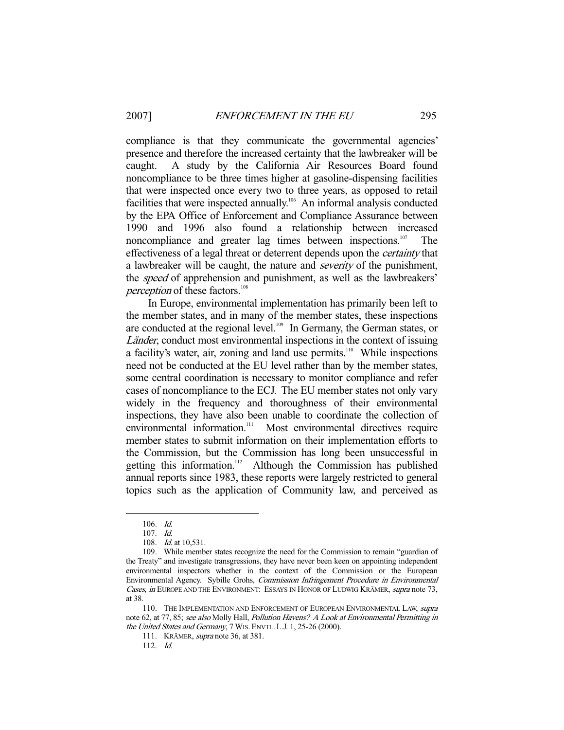compliance is that they communicate the governmental agencies' presence and therefore the increased certainty that the lawbreaker will be caught. A study by the California Air Resources Board found noncompliance to be three times higher at gasoline-dispensing facilities that were inspected once every two to three years, as opposed to retail facilities that were inspected annually.<sup>106</sup> An informal analysis conducted by the EPA Office of Enforcement and Compliance Assurance between 1990 and 1996 also found a relationship between increased noncompliance and greater lag times between inspections.<sup>107</sup> The effectiveness of a legal threat or deterrent depends upon the certainty that a lawbreaker will be caught, the nature and severity of the punishment, the *speed* of apprehension and punishment, as well as the lawbreakers' perception of these factors.<sup>108</sup>

 In Europe, environmental implementation has primarily been left to the member states, and in many of the member states, these inspections are conducted at the regional level. $109$  In Germany, the German states, or Länder, conduct most environmental inspections in the context of issuing a facility's water, air, zoning and land use permits.<sup>110</sup> While inspections need not be conducted at the EU level rather than by the member states, some central coordination is necessary to monitor compliance and refer cases of noncompliance to the ECJ. The EU member states not only vary widely in the frequency and thoroughness of their environmental inspections, they have also been unable to coordinate the collection of environmental information.<sup>111</sup> Most environmental directives require member states to submit information on their implementation efforts to the Commission, but the Commission has long been unsuccessful in getting this information.<sup>112</sup> Although the Commission has published annual reports since 1983, these reports were largely restricted to general topics such as the application of Community law, and perceived as

 <sup>106.</sup> Id.

 <sup>107.</sup> Id.

 <sup>108.</sup> Id. at 10,531.

 <sup>109.</sup> While member states recognize the need for the Commission to remain "guardian of the Treaty" and investigate transgressions, they have never been keen on appointing independent environmental inspectors whether in the context of the Commission or the European Environmental Agency. Sybille Grohs, Commission Infringement Procedure in Environmental Cases, in EUROPE AND THE ENVIRONMENT: ESSAYS IN HONOR OF LUDWIG KRÄMER, supra note 73, at 38.

<sup>110.</sup> THE IMPLEMENTATION AND ENFORCEMENT OF EUROPEAN ENVIRONMENTAL LAW, supra note 62, at 77, 85; see also Molly Hall, Pollution Havens? A Look at Environmental Permitting in the United States and Germany, 7 WIS. ENVTL. L.J. 1, 25-26 (2000).

<sup>111.</sup> KRÄMER, *supra* note 36, at 381.

 <sup>112.</sup> Id.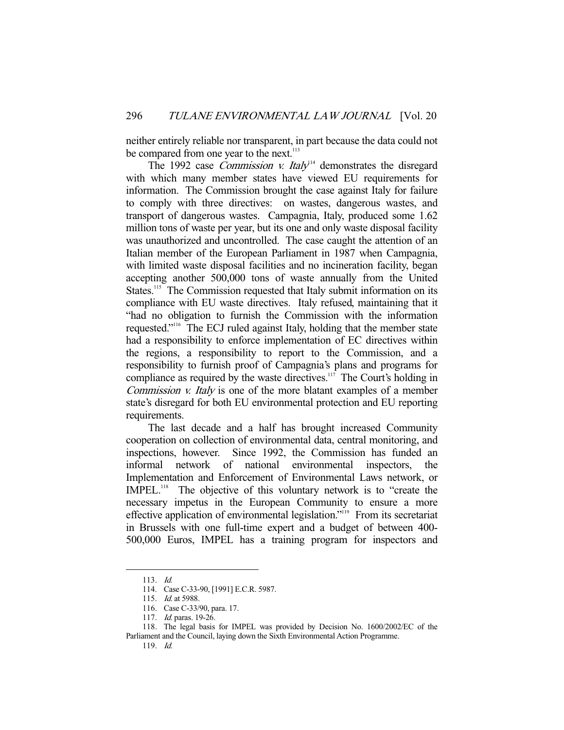neither entirely reliable nor transparent, in part because the data could not be compared from one year to the next.<sup>113</sup>

The 1992 case *Commission v. Italy*<sup>14</sup> demonstrates the disregard with which many member states have viewed EU requirements for information. The Commission brought the case against Italy for failure to comply with three directives: on wastes, dangerous wastes, and transport of dangerous wastes. Campagnia, Italy, produced some 1.62 million tons of waste per year, but its one and only waste disposal facility was unauthorized and uncontrolled. The case caught the attention of an Italian member of the European Parliament in 1987 when Campagnia, with limited waste disposal facilities and no incineration facility, began accepting another 500,000 tons of waste annually from the United States.<sup>115</sup> The Commission requested that Italy submit information on its compliance with EU waste directives. Italy refused, maintaining that it "had no obligation to furnish the Commission with the information requested."116 The ECJ ruled against Italy, holding that the member state had a responsibility to enforce implementation of EC directives within the regions, a responsibility to report to the Commission, and a responsibility to furnish proof of Campagnia's plans and programs for compliance as required by the waste directives. $117$  The Court's holding in Commission v. Italy is one of the more blatant examples of a member state's disregard for both EU environmental protection and EU reporting requirements.

 The last decade and a half has brought increased Community cooperation on collection of environmental data, central monitoring, and inspections, however. Since 1992, the Commission has funded an informal network of national environmental inspectors, the Implementation and Enforcement of Environmental Laws network, or IMPEL.<sup>118</sup> The objective of this voluntary network is to "create the necessary impetus in the European Community to ensure a more effective application of environmental legislation."119 From its secretariat in Brussels with one full-time expert and a budget of between 400- 500,000 Euros, IMPEL has a training program for inspectors and

 <sup>113.</sup> Id.

 <sup>114.</sup> Case C-33-90, [1991] E.C.R. 5987.

<sup>115.</sup> *Id.* at 5988.

 <sup>116.</sup> Case C-33/90, para. 17.

<sup>117.</sup> *Id.* paras. 19-26.

 <sup>118.</sup> The legal basis for IMPEL was provided by Decision No. 1600/2002/EC of the Parliament and the Council, laying down the Sixth Environmental Action Programme.

 <sup>119.</sup> Id.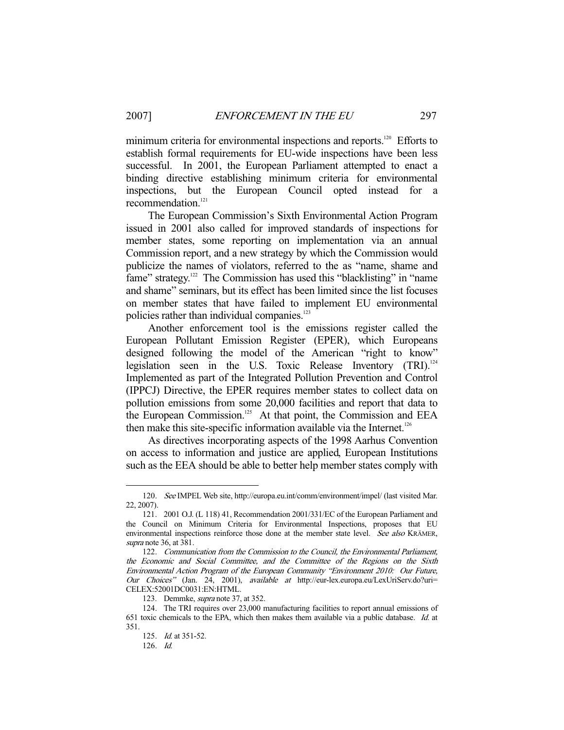minimum criteria for environmental inspections and reports.<sup>120</sup> Efforts to establish formal requirements for EU-wide inspections have been less successful. In 2001, the European Parliament attempted to enact a binding directive establishing minimum criteria for environmental inspections, but the European Council opted instead for a recommendation.<sup>121</sup>

 The European Commission's Sixth Environmental Action Program issued in 2001 also called for improved standards of inspections for member states, some reporting on implementation via an annual Commission report, and a new strategy by which the Commission would publicize the names of violators, referred to the as "name, shame and fame" strategy.<sup>122</sup> The Commission has used this "blacklisting" in "name and shame" seminars, but its effect has been limited since the list focuses on member states that have failed to implement EU environmental policies rather than individual companies.<sup>123</sup>

 Another enforcement tool is the emissions register called the European Pollutant Emission Register (EPER), which Europeans designed following the model of the American "right to know" legislation seen in the U.S. Toxic Release Inventory (TRI).<sup>124</sup> Implemented as part of the Integrated Pollution Prevention and Control (IPPCJ) Directive, the EPER requires member states to collect data on pollution emissions from some 20,000 facilities and report that data to the European Commission.<sup>125</sup> At that point, the Commission and EEA then make this site-specific information available via the Internet.<sup>126</sup>

 As directives incorporating aspects of the 1998 Aarhus Convention on access to information and justice are applied, European Institutions such as the EEA should be able to better help member states comply with

 <sup>120.</sup> See IMPEL Web site, http://europa.eu.int/comm/environment/impel/ (last visited Mar. 22, 2007).

 <sup>121. 2001</sup> O.J. (L 118) 41, Recommendation 2001/331/EC of the European Parliament and the Council on Minimum Criteria for Environmental Inspections, proposes that EU environmental inspections reinforce those done at the member state level. See also KRÄMER, supra note 36, at 381.

 <sup>122.</sup> Communication from the Commission to the Council, the Environmental Parliament, the Economic and Social Committee, and the Committee of the Regions on the Sixth Environmental Action Program of the European Community "Environment 2010: Our Future, Our Choices" (Jan. 24, 2001), available at http://eur-lex.europa.eu/LexUriServ.do?uri= CELEX:52001DC0031:EN:HTML.

 <sup>123.</sup> Demmke, supra note 37, at 352.

 <sup>124.</sup> The TRI requires over 23,000 manufacturing facilities to report annual emissions of 651 toxic chemicals to the EPA, which then makes them available via a public database. Id. at 351.

<sup>125.</sup> *Id.* at 351-52.

 <sup>126.</sup> Id.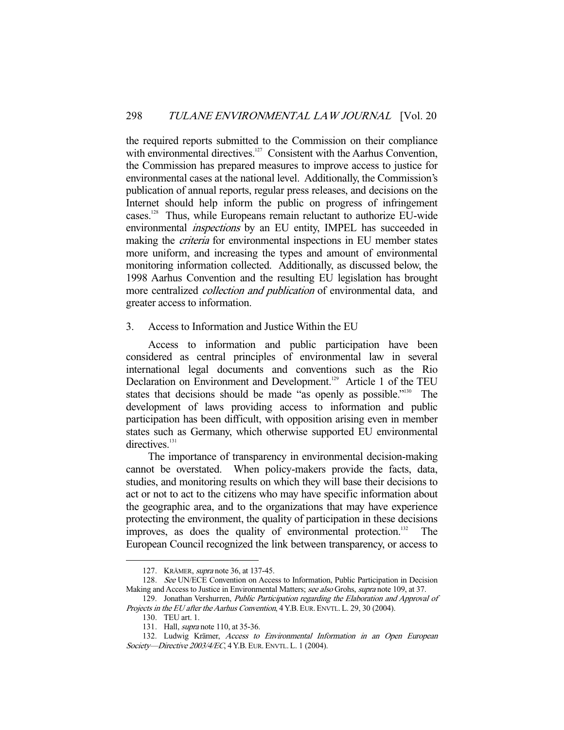the required reports submitted to the Commission on their compliance with environmental directives.<sup>127</sup> Consistent with the Aarhus Convention, the Commission has prepared measures to improve access to justice for environmental cases at the national level. Additionally, the Commission's publication of annual reports, regular press releases, and decisions on the Internet should help inform the public on progress of infringement cases.128 Thus, while Europeans remain reluctant to authorize EU-wide environmental inspections by an EU entity, IMPEL has succeeded in making the *criteria* for environmental inspections in EU member states more uniform, and increasing the types and amount of environmental monitoring information collected. Additionally, as discussed below, the 1998 Aarhus Convention and the resulting EU legislation has brought more centralized *collection and publication* of environmental data, and greater access to information.

## 3. Access to Information and Justice Within the EU

 Access to information and public participation have been considered as central principles of environmental law in several international legal documents and conventions such as the Rio Declaration on Environment and Development.<sup>129</sup> Article 1 of the TEU states that decisions should be made "as openly as possible."<sup>130</sup> The development of laws providing access to information and public participation has been difficult, with opposition arising even in member states such as Germany, which otherwise supported EU environmental directives.<sup>131</sup>

 The importance of transparency in environmental decision-making cannot be overstated. When policy-makers provide the facts, data, studies, and monitoring results on which they will base their decisions to act or not to act to the citizens who may have specific information about the geographic area, and to the organizations that may have experience protecting the environment, the quality of participation in these decisions improves, as does the quality of environmental protection.<sup>132</sup> The European Council recognized the link between transparency, or access to

 <sup>127.</sup> KRÄMER, supra note 36, at 137-45.

<sup>128.</sup> See UN/ECE Convention on Access to Information, Public Participation in Decision Making and Access to Justice in Environmental Matters; see also Grohs, supra note 109, at 37.

<sup>129.</sup> Jonathan Vershurren, Public Participation regarding the Elaboration and Approval of Projects in the EU after the Aarhus Convention, 4 Y.B. EUR. ENVTL. L. 29, 30 (2004).

 <sup>130.</sup> TEU art. 1.

 <sup>131.</sup> Hall, supra note 110, at 35-36.

<sup>132.</sup> Ludwig Krämer, Access to Environmental Information in an Open European Society—Directive 2003/4/EC, 4 Y.B. EUR. ENVTL. L. 1 (2004).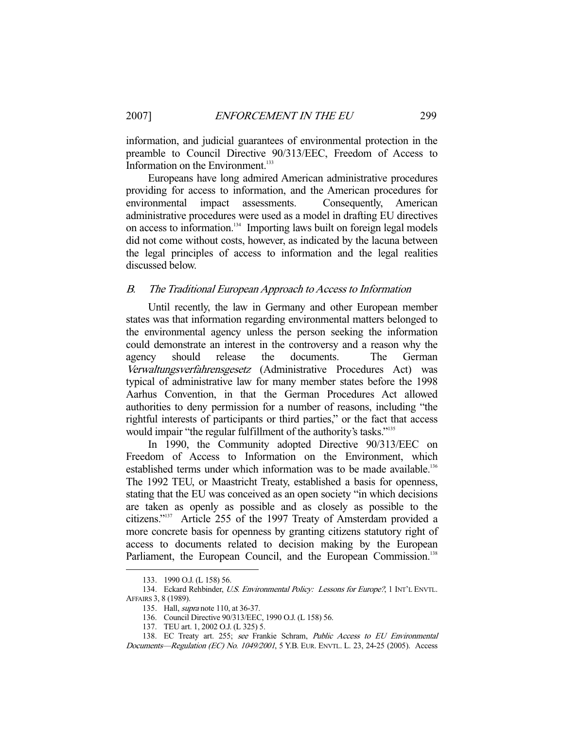information, and judicial guarantees of environmental protection in the preamble to Council Directive 90/313/EEC, Freedom of Access to Information on the Environment.<sup>133</sup>

 Europeans have long admired American administrative procedures providing for access to information, and the American procedures for environmental impact assessments. Consequently, American administrative procedures were used as a model in drafting EU directives on access to information.<sup>134</sup> Importing laws built on foreign legal models did not come without costs, however, as indicated by the lacuna between the legal principles of access to information and the legal realities discussed below.

## B. The Traditional European Approach to Access to Information

 Until recently, the law in Germany and other European member states was that information regarding environmental matters belonged to the environmental agency unless the person seeking the information could demonstrate an interest in the controversy and a reason why the agency should release the documents. The German Verwaltungsverfahrensgesetz (Administrative Procedures Act) was typical of administrative law for many member states before the 1998 Aarhus Convention, in that the German Procedures Act allowed authorities to deny permission for a number of reasons, including "the rightful interests of participants or third parties," or the fact that access would impair "the regular fulfillment of the authority's tasks."<sup>135</sup>

 In 1990, the Community adopted Directive 90/313/EEC on Freedom of Access to Information on the Environment, which established terms under which information was to be made available.<sup>136</sup> The 1992 TEU, or Maastricht Treaty, established a basis for openness, stating that the EU was conceived as an open society "in which decisions are taken as openly as possible and as closely as possible to the citizens."137 Article 255 of the 1997 Treaty of Amsterdam provided a more concrete basis for openness by granting citizens statutory right of access to documents related to decision making by the European Parliament, the European Council, and the European Commission.<sup>138</sup>

 <sup>133. 1990</sup> O.J. (L 158) 56.

<sup>134.</sup> Eckard Rehbinder, U.S. Environmental Policy: Lessons for Europe?, 1 INT'L ENVTL. AFFAIRS 3, 8 (1989).

 <sup>135.</sup> Hall, supra note 110, at 36-37.

 <sup>136.</sup> Council Directive 90/313/EEC, 1990 O.J. (L 158) 56.

 <sup>137.</sup> TEU art. 1, 2002 O.J. (L 325) 5.

<sup>138.</sup> EC Treaty art. 255; see Frankie Schram, Public Access to EU Environmental Documents—Regulation (EC) No. 1049/2001, 5 Y.B. EUR. ENVTL. L. 23, 24-25 (2005). Access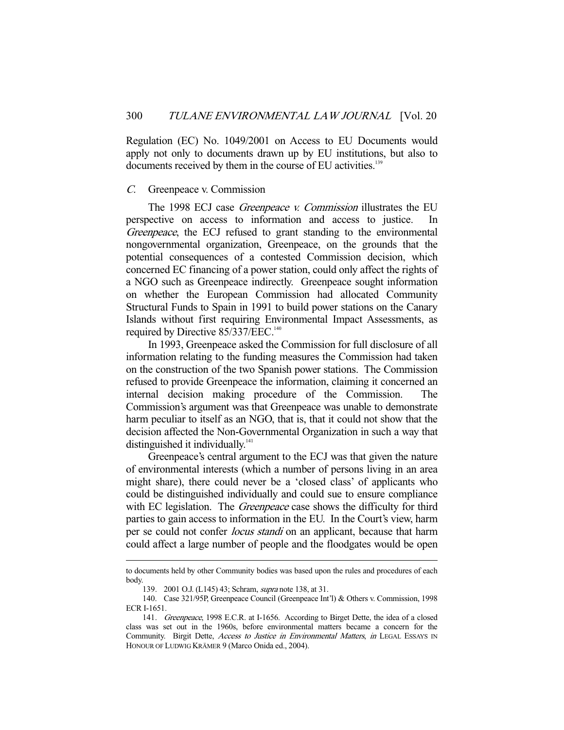Regulation (EC) No. 1049/2001 on Access to EU Documents would apply not only to documents drawn up by EU institutions, but also to documents received by them in the course of EU activities.<sup>139</sup>

#### C. Greenpeace v. Commission

The 1998 ECJ case *Greenpeace v. Commission* illustrates the EU perspective on access to information and access to justice. In Greenpeace, the ECJ refused to grant standing to the environmental nongovernmental organization, Greenpeace, on the grounds that the potential consequences of a contested Commission decision, which concerned EC financing of a power station, could only affect the rights of a NGO such as Greenpeace indirectly. Greenpeace sought information on whether the European Commission had allocated Community Structural Funds to Spain in 1991 to build power stations on the Canary Islands without first requiring Environmental Impact Assessments, as required by Directive 85/337/EEC.<sup>140</sup>

 In 1993, Greenpeace asked the Commission for full disclosure of all information relating to the funding measures the Commission had taken on the construction of the two Spanish power stations. The Commission refused to provide Greenpeace the information, claiming it concerned an internal decision making procedure of the Commission. The Commission's argument was that Greenpeace was unable to demonstrate harm peculiar to itself as an NGO, that is, that it could not show that the decision affected the Non-Governmental Organization in such a way that distinguished it individually. $141$ 

 Greenpeace's central argument to the ECJ was that given the nature of environmental interests (which a number of persons living in an area might share), there could never be a 'closed class' of applicants who could be distinguished individually and could sue to ensure compliance with EC legislation. The *Greenpeace* case shows the difficulty for third parties to gain access to information in the EU. In the Court's view, harm per se could not confer *locus standi* on an applicant, because that harm could affect a large number of people and the floodgates would be open

to documents held by other Community bodies was based upon the rules and procedures of each body.

<sup>139. 2001</sup> O.J. (L145) 43; Schram, *supra* note 138, at 31.

 <sup>140.</sup> Case 321/95P, Greenpeace Council (Greenpeace Int'l) & Others v. Commission, 1998 ECR I-1651.

 <sup>141.</sup> Greenpeace, 1998 E.C.R. at I-1656. According to Birget Dette, the idea of a closed class was set out in the 1960s, before environmental matters became a concern for the Community. Birgit Dette, Access to Justice in Environmental Matters, in LEGAL ESSAYS IN HONOUR OF LUDWIG KRÄMER 9 (Marco Onida ed., 2004).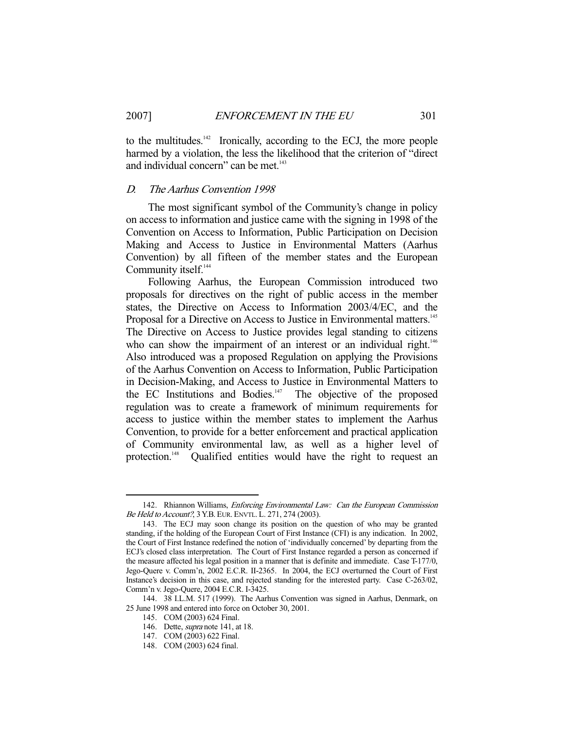to the multitudes. $142$  Ironically, according to the ECJ, the more people harmed by a violation, the less the likelihood that the criterion of "direct and individual concern" can be met.<sup>143</sup>

# D. The Aarhus Convention 1998

 The most significant symbol of the Community's change in policy on access to information and justice came with the signing in 1998 of the Convention on Access to Information, Public Participation on Decision Making and Access to Justice in Environmental Matters (Aarhus Convention) by all fifteen of the member states and the European Community itself.<sup>144</sup>

 Following Aarhus, the European Commission introduced two proposals for directives on the right of public access in the member states, the Directive on Access to Information 2003/4/EC, and the Proposal for a Directive on Access to Justice in Environmental matters.<sup>145</sup> The Directive on Access to Justice provides legal standing to citizens who can show the impairment of an interest or an individual right.<sup>146</sup> Also introduced was a proposed Regulation on applying the Provisions of the Aarhus Convention on Access to Information, Public Participation in Decision-Making, and Access to Justice in Environmental Matters to the EC Institutions and Bodies.<sup>147</sup> The objective of the proposed regulation was to create a framework of minimum requirements for access to justice within the member states to implement the Aarhus Convention, to provide for a better enforcement and practical application of Community environmental law, as well as a higher level of protection.<sup>148</sup> Qualified entities would have the right to request an

 <sup>142.</sup> Rhiannon Williams, Enforcing Environmental Law: Can the European Commission Be Held to Account?, 3 Y.B. EUR. ENVTL. L. 271, 274 (2003).

 <sup>143.</sup> The ECJ may soon change its position on the question of who may be granted standing, if the holding of the European Court of First Instance (CFI) is any indication. In 2002, the Court of First Instance redefined the notion of 'individually concerned' by departing from the ECJ's closed class interpretation. The Court of First Instance regarded a person as concerned if the measure affected his legal position in a manner that is definite and immediate. Case T-177/0, Jego-Quere v. Comm'n, 2002 E.C.R. II-2365. In 2004, the ECJ overturned the Court of First Instance's decision in this case, and rejected standing for the interested party. Case C-263/02, Comm'n v. Jego-Quere, 2004 E.C.R. I-3425.

 <sup>144. 38</sup> I.L.M. 517 (1999). The Aarhus Convention was signed in Aarhus, Denmark, on 25 June 1998 and entered into force on October 30, 2001.

 <sup>145.</sup> COM (2003) 624 Final.

 <sup>146.</sup> Dette, supra note 141, at 18.

 <sup>147.</sup> COM (2003) 622 Final.

 <sup>148.</sup> COM (2003) 624 final.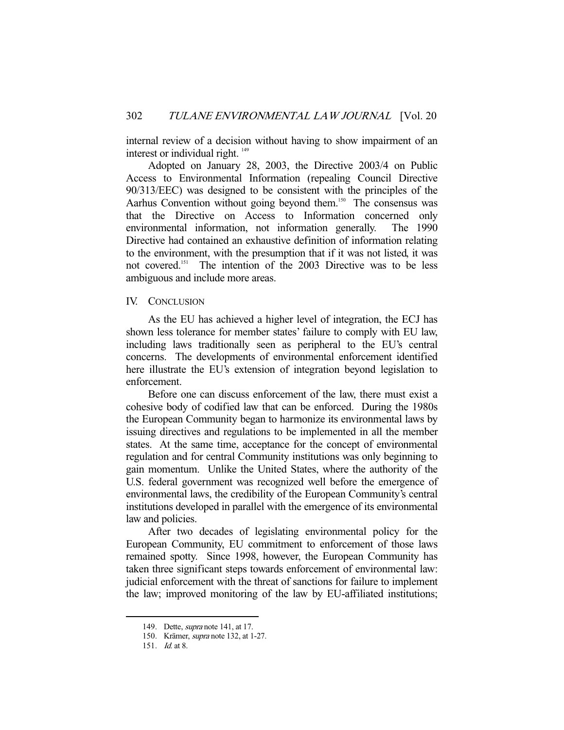internal review of a decision without having to show impairment of an interest or individual right.<sup>149</sup>

 Adopted on January 28, 2003, the Directive 2003/4 on Public Access to Environmental Information (repealing Council Directive 90/313/EEC) was designed to be consistent with the principles of the Aarhus Convention without going beyond them.<sup>150</sup> The consensus was that the Directive on Access to Information concerned only environmental information, not information generally. The 1990 Directive had contained an exhaustive definition of information relating to the environment, with the presumption that if it was not listed, it was not covered.151 The intention of the 2003 Directive was to be less ambiguous and include more areas.

#### IV. CONCLUSION

 As the EU has achieved a higher level of integration, the ECJ has shown less tolerance for member states' failure to comply with EU law, including laws traditionally seen as peripheral to the EU's central concerns. The developments of environmental enforcement identified here illustrate the EU's extension of integration beyond legislation to enforcement.

 Before one can discuss enforcement of the law, there must exist a cohesive body of codified law that can be enforced. During the 1980s the European Community began to harmonize its environmental laws by issuing directives and regulations to be implemented in all the member states. At the same time, acceptance for the concept of environmental regulation and for central Community institutions was only beginning to gain momentum. Unlike the United States, where the authority of the U.S. federal government was recognized well before the emergence of environmental laws, the credibility of the European Community's central institutions developed in parallel with the emergence of its environmental law and policies.

 After two decades of legislating environmental policy for the European Community, EU commitment to enforcement of those laws remained spotty. Since 1998, however, the European Community has taken three significant steps towards enforcement of environmental law: judicial enforcement with the threat of sanctions for failure to implement the law; improved monitoring of the law by EU-affiliated institutions;

 <sup>149.</sup> Dette, supra note 141, at 17.

 <sup>150.</sup> Krämer, supra note 132, at 1-27.

 <sup>151.</sup> Id. at 8.